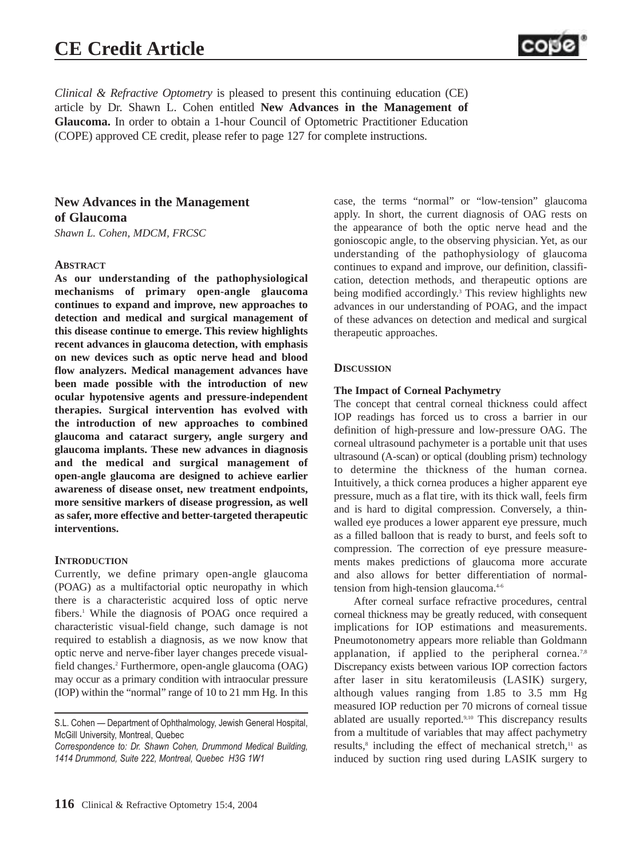# **CE Credit Article**



*Clinical & Refractive Optometry* is pleased to present this continuing education (CE) article by Dr. Shawn L. Cohen entitled **New Advances in the Management of Glaucoma.** In order to obtain a 1-hour Council of Optometric Practitioner Education (COPE) approved CE credit, please refer to page 127 for complete instructions.

# **New Advances in the Management of Glaucoma**

*Shawn L. Cohen, MDCM, FRCSC*

# **ABSTRACT**

**As our understanding of the pathophysiological mechanisms of primary open-angle glaucoma continues to expand and improve, new approaches to detection and medical and surgical management of this disease continue to emerge. This review highlights recent advances in glaucoma detection, with emphasis on new devices such as optic nerve head and blood flow analyzers. Medical management advances have been made possible with the introduction of new ocular hypotensive agents and pressure-independent therapies. Surgical intervention has evolved with the introduction of new approaches to combined glaucoma and cataract surgery, angle surgery and glaucoma implants. These new advances in diagnosis and the medical and surgical management of open-angle glaucoma are designed to achieve earlier awareness of disease onset, new treatment endpoints, more sensitive markers of disease progression, as well as safer, more effective and better-targeted therapeutic interventions.**

#### **INTRODUCTION**

Currently, we define primary open-angle glaucoma (POAG) as a multifactorial optic neuropathy in which there is a characteristic acquired loss of optic nerve fibers.<sup>1</sup> While the diagnosis of POAG once required a characteristic visual-field change, such damage is not required to establish a diagnosis, as we now know that optic nerve and nerve-fiber layer changes precede visualfield changes.2 Furthermore, open-angle glaucoma (OAG) may occur as a primary condition with intraocular pressure (IOP) within the "normal" range of 10 to 21 mm Hg. In this case, the terms "normal" or "low-tension" glaucoma apply. In short, the current diagnosis of OAG rests on the appearance of both the optic nerve head and the gonioscopic angle, to the observing physician. Yet, as our understanding of the pathophysiology of glaucoma continues to expand and improve, our definition, classification, detection methods, and therapeutic options are being modified accordingly.3 This review highlights new advances in our understanding of POAG, and the impact of these advances on detection and medical and surgical therapeutic approaches.

#### **DISCUSSION**

#### **The Impact of Corneal Pachymetry**

The concept that central corneal thickness could affect IOP readings has forced us to cross a barrier in our definition of high-pressure and low-pressure OAG. The corneal ultrasound pachymeter is a portable unit that uses ultrasound (A-scan) or optical (doubling prism) technology to determine the thickness of the human cornea. Intuitively, a thick cornea produces a higher apparent eye pressure, much as a flat tire, with its thick wall, feels firm and is hard to digital compression. Conversely, a thinwalled eye produces a lower apparent eye pressure, much as a filled balloon that is ready to burst, and feels soft to compression. The correction of eye pressure measurements makes predictions of glaucoma more accurate and also allows for better differentiation of normaltension from high-tension glaucoma.<sup>4-6</sup>

After corneal surface refractive procedures, central corneal thickness may be greatly reduced, with consequent implications for IOP estimations and measurements. Pneumotonometry appears more reliable than Goldmann applanation, if applied to the peripheral cornea.<sup>7,8</sup> Discrepancy exists between various IOP correction factors after laser in situ keratomileusis (LASIK) surgery, although values ranging from 1.85 to 3.5 mm Hg measured IOP reduction per 70 microns of corneal tissue ablated are usually reported.<sup>9,10</sup> This discrepancy results from a multitude of variables that may affect pachymetry results, $\delta$  including the effect of mechanical stretch, $\mu$  as induced by suction ring used during LASIK surgery to

S.L. Cohen — Department of Ophthalmology, Jewish General Hospital, McGill University, Montreal, Quebec

*Correspondence to: Dr. Shawn Cohen, Drummond Medical Building, 1414 Drummond, Suite 222, Montreal, Quebec H3G 1W1*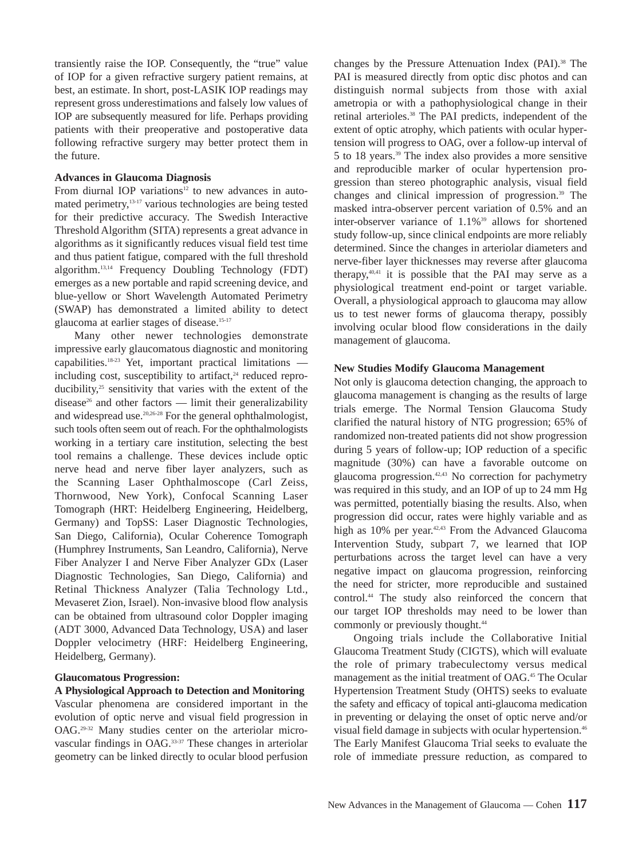transiently raise the IOP. Consequently, the "true" value of IOP for a given refractive surgery patient remains, at best, an estimate. In short, post-LASIK IOP readings may represent gross underestimations and falsely low values of IOP are subsequently measured for life. Perhaps providing patients with their preoperative and postoperative data following refractive surgery may better protect them in the future.

#### **Advances in Glaucoma Diagnosis**

From diurnal IOP variations $12$  to new advances in automated perimetry,13-17 various technologies are being tested for their predictive accuracy. The Swedish Interactive Threshold Algorithm (SITA) represents a great advance in algorithms as it significantly reduces visual field test time and thus patient fatigue, compared with the full threshold algorithm.13,14 Frequency Doubling Technology (FDT) emerges as a new portable and rapid screening device, and blue-yellow or Short Wavelength Automated Perimetry (SWAP) has demonstrated a limited ability to detect glaucoma at earlier stages of disease.<sup>15-17</sup>

Many other newer technologies demonstrate impressive early glaucomatous diagnostic and monitoring capabilities.18-23 Yet, important practical limitations including cost, susceptibility to artifact, $24$  reduced reproducibility, $25$  sensitivity that varies with the extent of the disease<sup>26</sup> and other factors — limit their generalizability and widespread use.20,26-28 For the general ophthalmologist, such tools often seem out of reach. For the ophthalmologists working in a tertiary care institution, selecting the best tool remains a challenge. These devices include optic nerve head and nerve fiber layer analyzers, such as the Scanning Laser Ophthalmoscope (Carl Zeiss, Thornwood, New York), Confocal Scanning Laser Tomograph (HRT: Heidelberg Engineering, Heidelberg, Germany) and TopSS: Laser Diagnostic Technologies, San Diego, California), Ocular Coherence Tomograph (Humphrey Instruments, San Leandro, California), Nerve Fiber Analyzer I and Nerve Fiber Analyzer GDx (Laser Diagnostic Technologies, San Diego, California) and Retinal Thickness Analyzer (Talia Technology Ltd., Mevaseret Zion, Israel). Non-invasive blood flow analysis can be obtained from ultrasound color Doppler imaging (ADT 3000, Advanced Data Technology, USA) and laser Doppler velocimetry (HRF: Heidelberg Engineering, Heidelberg, Germany).

# **Glaucomatous Progression:**

**A Physiological Approach to Detection and Monitoring**  Vascular phenomena are considered important in the evolution of optic nerve and visual field progression in OAG.29-32 Many studies center on the arteriolar microvascular findings in OAG.33-37 These changes in arteriolar geometry can be linked directly to ocular blood perfusion changes by the Pressure Attenuation Index (PAI).<sup>38</sup> The PAI is measured directly from optic disc photos and can distinguish normal subjects from those with axial ametropia or with a pathophysiological change in their retinal arterioles.<sup>38</sup> The PAI predicts, independent of the extent of optic atrophy, which patients with ocular hypertension will progress to OAG, over a follow-up interval of 5 to 18 years.39 The index also provides a more sensitive and reproducible marker of ocular hypertension progression than stereo photographic analysis, visual field changes and clinical impression of progression.39 The masked intra-observer percent variation of 0.5% and an inter-observer variance of 1.1%<sup>39</sup> allows for shortened study follow-up, since clinical endpoints are more reliably determined. Since the changes in arteriolar diameters and nerve-fiber layer thicknesses may reverse after glaucoma therapy, $40,41$  it is possible that the PAI may serve as a physiological treatment end-point or target variable. Overall, a physiological approach to glaucoma may allow us to test newer forms of glaucoma therapy, possibly involving ocular blood flow considerations in the daily management of glaucoma.

#### **New Studies Modify Glaucoma Management**

Not only is glaucoma detection changing, the approach to glaucoma management is changing as the results of large trials emerge. The Normal Tension Glaucoma Study clarified the natural history of NTG progression; 65% of randomized non-treated patients did not show progression during 5 years of follow-up; IOP reduction of a specific magnitude (30%) can have a favorable outcome on glaucoma progression.42,43 No correction for pachymetry was required in this study, and an IOP of up to 24 mm Hg was permitted, potentially biasing the results. Also, when progression did occur, rates were highly variable and as high as 10% per year.<sup>42,43</sup> From the Advanced Glaucoma Intervention Study, subpart 7, we learned that IOP perturbations across the target level can have a very negative impact on glaucoma progression, reinforcing the need for stricter, more reproducible and sustained control.44 The study also reinforced the concern that our target IOP thresholds may need to be lower than commonly or previously thought.<sup>44</sup>

Ongoing trials include the Collaborative Initial Glaucoma Treatment Study (CIGTS), which will evaluate the role of primary trabeculectomy versus medical management as the initial treatment of OAG.45 The Ocular Hypertension Treatment Study (OHTS) seeks to evaluate the safety and efficacy of topical anti-glaucoma medication in preventing or delaying the onset of optic nerve and/or visual field damage in subjects with ocular hypertension.46 The Early Manifest Glaucoma Trial seeks to evaluate the role of immediate pressure reduction, as compared to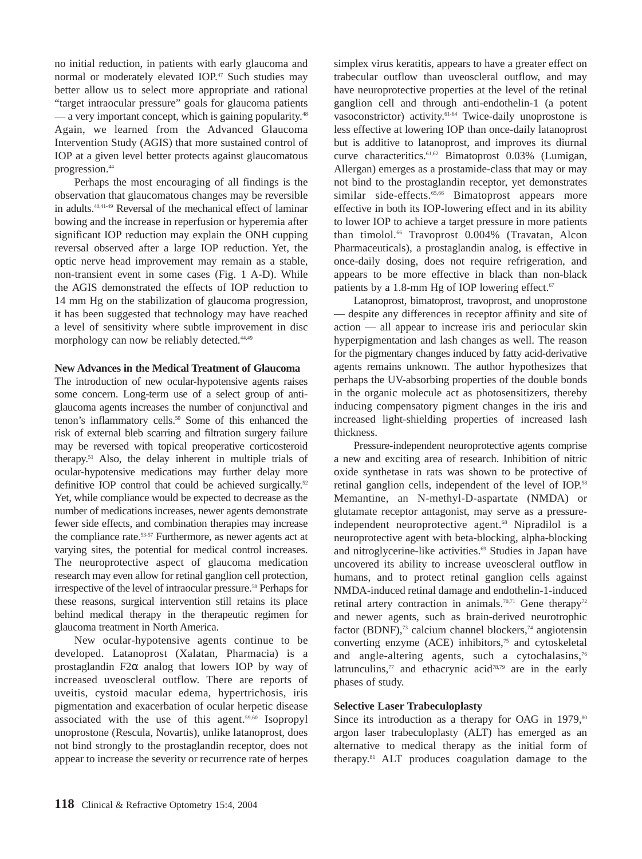no initial reduction, in patients with early glaucoma and normal or moderately elevated IOP.<sup>47</sup> Such studies may better allow us to select more appropriate and rational "target intraocular pressure" goals for glaucoma patients — a very important concept, which is gaining popularity.<sup>48</sup> Again, we learned from the Advanced Glaucoma Intervention Study (AGIS) that more sustained control of IOP at a given level better protects against glaucomatous progression.44

Perhaps the most encouraging of all findings is the observation that glaucomatous changes may be reversible in adults.40,41-49 Reversal of the mechanical effect of laminar bowing and the increase in reperfusion or hyperemia after significant IOP reduction may explain the ONH cupping reversal observed after a large IOP reduction. Yet, the optic nerve head improvement may remain as a stable, non-transient event in some cases (Fig. 1 A-D). While the AGIS demonstrated the effects of IOP reduction to 14 mm Hg on the stabilization of glaucoma progression, it has been suggested that technology may have reached a level of sensitivity where subtle improvement in disc morphology can now be reliably detected.<sup>44,49</sup>

#### **New Advances in the Medical Treatment of Glaucoma**

The introduction of new ocular-hypotensive agents raises some concern. Long-term use of a select group of antiglaucoma agents increases the number of conjunctival and tenon's inflammatory cells.<sup>50</sup> Some of this enhanced the risk of external bleb scarring and filtration surgery failure may be reversed with topical preoperative corticosteroid therapy.51 Also, the delay inherent in multiple trials of ocular-hypotensive medications may further delay more definitive IOP control that could be achieved surgically.<sup>52</sup> Yet, while compliance would be expected to decrease as the number of medications increases, newer agents demonstrate fewer side effects, and combination therapies may increase the compliance rate.<sup>53-57</sup> Furthermore, as newer agents act at varying sites, the potential for medical control increases. The neuroprotective aspect of glaucoma medication research may even allow for retinal ganglion cell protection, irrespective of the level of intraocular pressure.<sup>58</sup> Perhaps for these reasons, surgical intervention still retains its place behind medical therapy in the therapeutic regimen for glaucoma treatment in North America.

New ocular-hypotensive agents continue to be developed. Latanoprost (Xalatan, Pharmacia) is a prostaglandin F2 $\alpha$  analog that lowers IOP by way of increased uveoscleral outflow. There are reports of uveitis, cystoid macular edema, hypertrichosis, iris pigmentation and exacerbation of ocular herpetic disease associated with the use of this agent.<sup>59,60</sup> Isopropyl unoprostone (Rescula, Novartis), unlike latanoprost, does not bind strongly to the prostaglandin receptor, does not appear to increase the severity or recurrence rate of herpes

simplex virus keratitis, appears to have a greater effect on trabecular outflow than uveoscleral outflow, and may have neuroprotective properties at the level of the retinal ganglion cell and through anti-endothelin-1 (a potent vasoconstrictor) activity.<sup>61-64</sup> Twice-daily unoprostone is less effective at lowering IOP than once-daily latanoprost but is additive to latanoprost, and improves its diurnal curve characteritics.61,62 Bimatoprost 0.03% (Lumigan, Allergan) emerges as a prostamide-class that may or may not bind to the prostaglandin receptor, yet demonstrates similar side-effects.<sup>65,66</sup> Bimatoprost appears more effective in both its IOP-lowering effect and in its ability to lower IOP to achieve a target pressure in more patients than timolol.<sup>66</sup> Travoprost 0.004% (Travatan, Alcon Pharmaceuticals), a prostaglandin analog, is effective in once-daily dosing, does not require refrigeration, and appears to be more effective in black than non-black patients by a 1.8-mm Hg of IOP lowering effect. $67$ 

Latanoprost, bimatoprost, travoprost, and unoprostone — despite any differences in receptor affinity and site of action — all appear to increase iris and periocular skin hyperpigmentation and lash changes as well. The reason for the pigmentary changes induced by fatty acid-derivative agents remains unknown. The author hypothesizes that perhaps the UV-absorbing properties of the double bonds in the organic molecule act as photosensitizers, thereby inducing compensatory pigment changes in the iris and increased light-shielding properties of increased lash thickness.

Pressure-independent neuroprotective agents comprise a new and exciting area of research. Inhibition of nitric oxide synthetase in rats was shown to be protective of retinal ganglion cells, independent of the level of IOP.<sup>58</sup> Memantine, an N-methyl-D-aspartate (NMDA) or glutamate receptor antagonist, may serve as a pressureindependent neuroprotective agent.<sup>68</sup> Nipradilol is a neuroprotective agent with beta-blocking, alpha-blocking and nitroglycerine-like activities.<sup>69</sup> Studies in Japan have uncovered its ability to increase uveoscleral outflow in humans, and to protect retinal ganglion cells against NMDA-induced retinal damage and endothelin-1-induced retinal artery contraction in animals.<sup>70,71</sup> Gene therapy<sup>72</sup> and newer agents, such as brain-derived neurotrophic factor (BDNF), $73$  calcium channel blockers, $74$  angiotensin converting enzyme (ACE) inhibitors,<sup>75</sup> and cytoskeletal and angle-altering agents, such a cytochalasins, $76$ latrunculins, $\frac{7}{7}$  and ethacrynic acid $\frac{78}{79}$  are in the early phases of study.

#### **Selective Laser Trabeculoplasty**

Since its introduction as a therapy for OAG in  $1979$ ,<sup>80</sup> argon laser trabeculoplasty (ALT) has emerged as an alternative to medical therapy as the initial form of therapy.81 ALT produces coagulation damage to the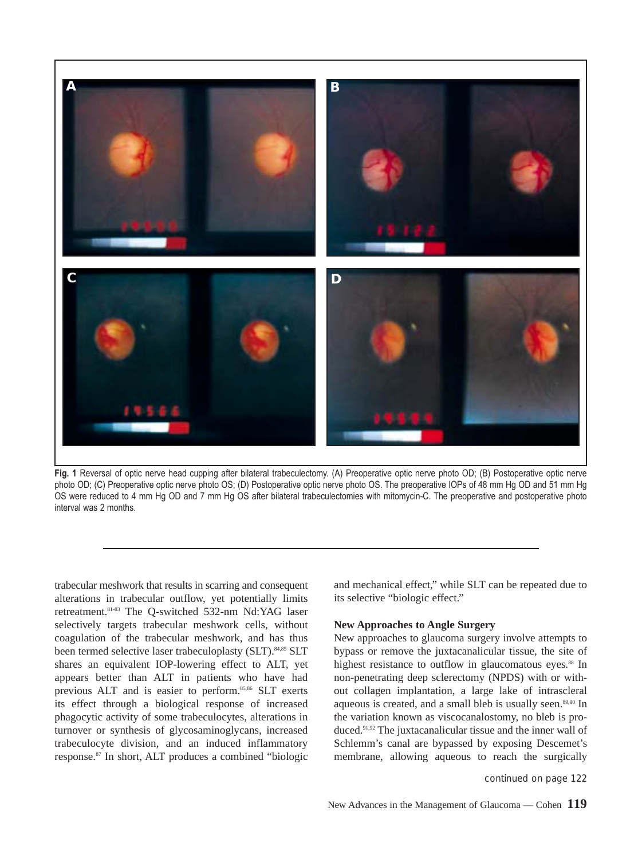

**Fig. 1** Reversal of optic nerve head cupping after bilateral trabeculectomy. (A) Preoperative optic nerve photo OD; (B) Postoperative optic nerve photo OD; (C) Preoperative optic nerve photo OS; (D) Postoperative optic nerve photo OS. The preoperative IOPs of 48 mm Hg OD and 51 mm Hg OS were reduced to 4 mm Hg OD and 7 mm Hg OS after bilateral trabeculectomies with mitomycin-C. The preoperative and postoperative photo interval was 2 months.

trabecular meshwork that results in scarring and consequent alterations in trabecular outflow, yet potentially limits retreatment.81-83 The Q-switched 532-nm Nd:YAG laser selectively targets trabecular meshwork cells, without coagulation of the trabecular meshwork, and has thus been termed selective laser trabeculoplasty (SLT).<sup>84,85</sup> SLT shares an equivalent IOP-lowering effect to ALT, yet appears better than ALT in patients who have had previous ALT and is easier to perform.<sup>85,86</sup> SLT exerts its effect through a biological response of increased phagocytic activity of some trabeculocytes, alterations in turnover or synthesis of glycosaminoglycans, increased trabeculocyte division, and an induced inflammatory response.87 In short, ALT produces a combined "biologic

and mechanical effect," while SLT can be repeated due to its selective "biologic effect."

#### **New Approaches to Angle Surgery**

New approaches to glaucoma surgery involve attempts to bypass or remove the juxtacanalicular tissue, the site of highest resistance to outflow in glaucomatous eyes.<sup>88</sup> In non-penetrating deep sclerectomy (NPDS) with or without collagen implantation, a large lake of intrascleral aqueous is created, and a small bleb is usually seen.<sup>89,90</sup> In the variation known as viscocanalostomy, no bleb is produced.91,92 The juxtacanalicular tissue and the inner wall of Schlemm's canal are bypassed by exposing Descemet's membrane, allowing aqueous to reach the surgically

*continued on page 122*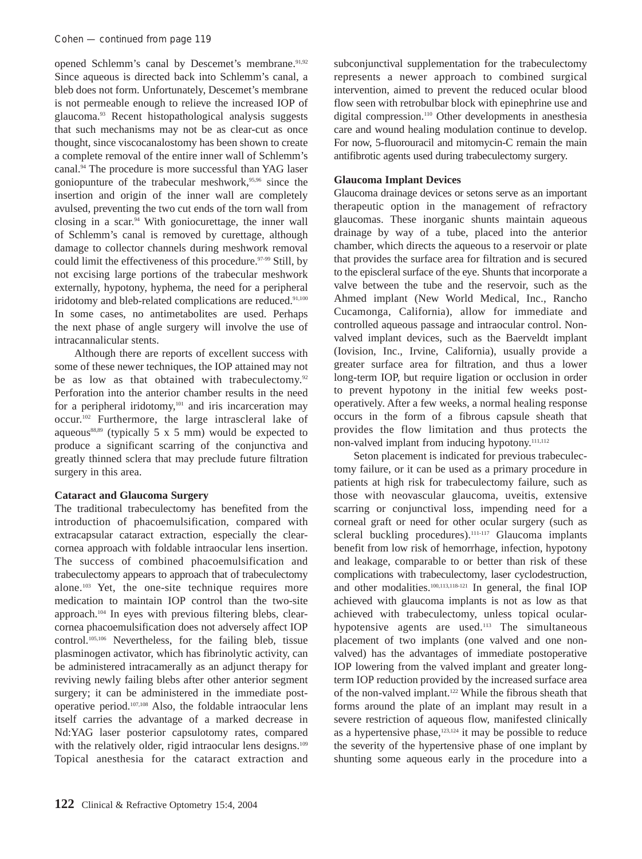opened Schlemm's canal by Descemet's membrane.<sup>91,92</sup> Since aqueous is directed back into Schlemm's canal, a bleb does not form. Unfortunately, Descemet's membrane is not permeable enough to relieve the increased IOP of glaucoma.93 Recent histopathological analysis suggests that such mechanisms may not be as clear-cut as once thought, since viscocanalostomy has been shown to create a complete removal of the entire inner wall of Schlemm's canal.94 The procedure is more successful than YAG laser goniopunture of the trabecular meshwork,95,96 since the insertion and origin of the inner wall are completely avulsed, preventing the two cut ends of the torn wall from closing in a scar.94 With goniocurettage, the inner wall of Schlemm's canal is removed by curettage, although damage to collector channels during meshwork removal could limit the effectiveness of this procedure.<sup>97-99</sup> Still, by not excising large portions of the trabecular meshwork externally, hypotony, hyphema, the need for a peripheral iridotomy and bleb-related complications are reduced.<sup>91,100</sup> In some cases, no antimetabolites are used. Perhaps the next phase of angle surgery will involve the use of intracannalicular stents.

Although there are reports of excellent success with some of these newer techniques, the IOP attained may not be as low as that obtained with trabeculectomy.<sup>92</sup> Perforation into the anterior chamber results in the need for a peripheral iridotomy,<sup>101</sup> and iris incarceration may occur.102 Furthermore, the large intrascleral lake of aqueous<sup>88,89</sup> (typically 5 x 5 mm) would be expected to produce a significant scarring of the conjunctiva and greatly thinned sclera that may preclude future filtration surgery in this area.

# **Cataract and Glaucoma Surgery**

The traditional trabeculectomy has benefited from the introduction of phacoemulsification, compared with extracapsular cataract extraction, especially the clearcornea approach with foldable intraocular lens insertion. The success of combined phacoemulsification and trabeculectomy appears to approach that of trabeculectomy alone.103 Yet, the one-site technique requires more medication to maintain IOP control than the two-site approach.104 In eyes with previous filtering blebs, clearcornea phacoemulsification does not adversely affect IOP control.105,106 Nevertheless, for the failing bleb, tissue plasminogen activator, which has fibrinolytic activity, can be administered intracamerally as an adjunct therapy for reviving newly failing blebs after other anterior segment surgery; it can be administered in the immediate postoperative period.107,108 Also, the foldable intraocular lens itself carries the advantage of a marked decrease in Nd:YAG laser posterior capsulotomy rates, compared with the relatively older, rigid intraocular lens designs.<sup>109</sup> Topical anesthesia for the cataract extraction and

subconjunctival supplementation for the trabeculectomy represents a newer approach to combined surgical intervention, aimed to prevent the reduced ocular blood flow seen with retrobulbar block with epinephrine use and digital compression.110 Other developments in anesthesia care and wound healing modulation continue to develop. For now, 5-fluorouracil and mitomycin-C remain the main antifibrotic agents used during trabeculectomy surgery.

# **Glaucoma Implant Devices**

Glaucoma drainage devices or setons serve as an important therapeutic option in the management of refractory glaucomas. These inorganic shunts maintain aqueous drainage by way of a tube, placed into the anterior chamber, which directs the aqueous to a reservoir or plate that provides the surface area for filtration and is secured to the episcleral surface of the eye. Shunts that incorporate a valve between the tube and the reservoir, such as the Ahmed implant (New World Medical, Inc., Rancho Cucamonga, California), allow for immediate and controlled aqueous passage and intraocular control. Nonvalved implant devices, such as the Baerveldt implant (Iovision, Inc., Irvine, California), usually provide a greater surface area for filtration, and thus a lower long-term IOP, but require ligation or occlusion in order to prevent hypotony in the initial few weeks postoperatively. After a few weeks, a normal healing response occurs in the form of a fibrous capsule sheath that provides the flow limitation and thus protects the non-valved implant from inducing hypotony.<sup>111,112</sup>

Seton placement is indicated for previous trabeculectomy failure, or it can be used as a primary procedure in patients at high risk for trabeculectomy failure, such as those with neovascular glaucoma, uveitis, extensive scarring or conjunctival loss, impending need for a corneal graft or need for other ocular surgery (such as scleral buckling procedures).<sup>111-117</sup> Glaucoma implants benefit from low risk of hemorrhage, infection, hypotony and leakage, comparable to or better than risk of these complications with trabeculectomy, laser cyclodestruction, and other modalities.<sup>100,113,118-121</sup> In general, the final IOP achieved with glaucoma implants is not as low as that achieved with trabeculectomy, unless topical ocularhypotensive agents are used.<sup>113</sup> The simultaneous placement of two implants (one valved and one nonvalved) has the advantages of immediate postoperative IOP lowering from the valved implant and greater longterm IOP reduction provided by the increased surface area of the non-valved implant.122 While the fibrous sheath that forms around the plate of an implant may result in a severe restriction of aqueous flow, manifested clinically as a hypertensive phase,<sup>123,124</sup> it may be possible to reduce the severity of the hypertensive phase of one implant by shunting some aqueous early in the procedure into a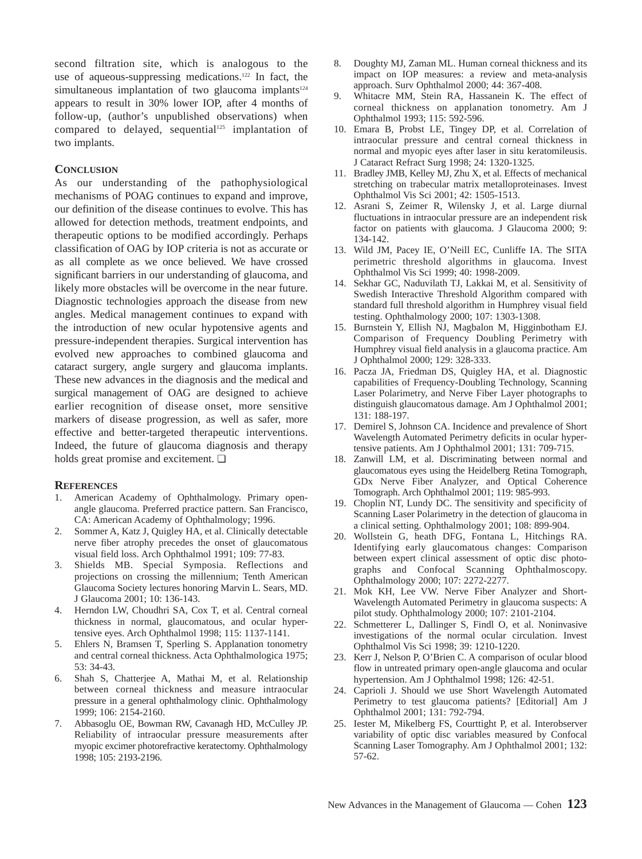second filtration site, which is analogous to the use of aqueous-suppressing medications.<sup>122</sup> In fact, the simultaneous implantation of two glaucoma implants $124$ appears to result in 30% lower IOP, after 4 months of follow-up, (author's unpublished observations) when compared to delayed, sequential<sup>125</sup> implantation of two implants.

#### **CONCLUSION**

As our understanding of the pathophysiological mechanisms of POAG continues to expand and improve, our definition of the disease continues to evolve. This has allowed for detection methods, treatment endpoints, and therapeutic options to be modified accordingly. Perhaps classification of OAG by IOP criteria is not as accurate or as all complete as we once believed. We have crossed significant barriers in our understanding of glaucoma, and likely more obstacles will be overcome in the near future. Diagnostic technologies approach the disease from new angles. Medical management continues to expand with the introduction of new ocular hypotensive agents and pressure-independent therapies. Surgical intervention has evolved new approaches to combined glaucoma and cataract surgery, angle surgery and glaucoma implants. These new advances in the diagnosis and the medical and surgical management of OAG are designed to achieve earlier recognition of disease onset, more sensitive markers of disease progression, as well as safer, more effective and better-targeted therapeutic interventions. Indeed, the future of glaucoma diagnosis and therapy holds great promise and excitement. ❏

#### **REFERENCES**

- 1. American Academy of Ophthalmology. Primary openangle glaucoma. Preferred practice pattern. San Francisco, CA: American Academy of Ophthalmology; 1996.
- 2. Sommer A, Katz J, Quigley HA, et al. Clinically detectable nerve fiber atrophy precedes the onset of glaucomatous visual field loss. Arch Ophthalmol 1991; 109: 77-83.
- 3. Shields MB. Special Symposia. Reflections and projections on crossing the millennium; Tenth American Glaucoma Society lectures honoring Marvin L. Sears, MD. J Glaucoma 2001; 10: 136-143.
- 4. Herndon LW, Choudhri SA, Cox T, et al. Central corneal thickness in normal, glaucomatous, and ocular hypertensive eyes. Arch Ophthalmol 1998; 115: 1137-1141.
- 5. Ehlers N, Bramsen T, Sperling S. Applanation tonometry and central corneal thickness. Acta Ophthalmologica 1975; 53: 34-43.
- 6. Shah S, Chatterjee A, Mathai M, et al. Relationship between corneal thickness and measure intraocular pressure in a general ophthalmology clinic. Ophthalmology 1999; 106: 2154-2160.
- 7. Abbasoglu OE, Bowman RW, Cavanagh HD, McCulley JP. Reliability of intraocular pressure measurements after myopic excimer photorefractive keratectomy. Ophthalmology 1998; 105: 2193-2196.
- 8. Doughty MJ, Zaman ML. Human corneal thickness and its impact on IOP measures: a review and meta-analysis approach. Surv Ophthalmol 2000; 44: 367-408.
- 9. Whitacre MM, Stein RA, Hassanein K. The effect of corneal thickness on applanation tonometry. Am J Ophthalmol 1993; 115: 592-596.
- 10. Emara B, Probst LE, Tingey DP, et al. Correlation of intraocular pressure and central corneal thickness in normal and myopic eyes after laser in situ keratomileusis. J Cataract Refract Surg 1998; 24: 1320-1325.
- 11. Bradley JMB, Kelley MJ, Zhu X, et al. Effects of mechanical stretching on trabecular matrix metalloproteinases. Invest Ophthalmol Vis Sci 2001; 42: 1505-1513.
- 12. Asrani S, Zeimer R, Wilensky J, et al. Large diurnal fluctuations in intraocular pressure are an independent risk factor on patients with glaucoma. J Glaucoma 2000; 9: 134-142.
- 13. Wild JM, Pacey IE, O'Neill EC, Cunliffe IA. The SITA perimetric threshold algorithms in glaucoma. Invest Ophthalmol Vis Sci 1999; 40: 1998-2009.
- 14. Sekhar GC, Naduvilath TJ, Lakkai M, et al. Sensitivity of Swedish Interactive Threshold Algorithm compared with standard full threshold algorithm in Humphrey visual field testing. Ophthalmology 2000; 107: 1303-1308.
- 15. Burnstein Y, Ellish NJ, Magbalon M, Higginbotham EJ. Comparison of Frequency Doubling Perimetry with Humphrey visual field analysis in a glaucoma practice. Am J Ophthalmol 2000; 129: 328-333.
- 16. Pacza JA, Friedman DS, Quigley HA, et al. Diagnostic capabilities of Frequency-Doubling Technology, Scanning Laser Polarimetry, and Nerve Fiber Layer photographs to distinguish glaucomatous damage. Am J Ophthalmol 2001; 131: 188-197.
- 17. Demirel S, Johnson CA. Incidence and prevalence of Short Wavelength Automated Perimetry deficits in ocular hypertensive patients. Am J Ophthalmol 2001; 131: 709-715.
- 18. Zanwill LM, et al. Discriminating between normal and glaucomatous eyes using the Heidelberg Retina Tomograph, GDx Nerve Fiber Analyzer, and Optical Coherence Tomograph. Arch Ophthalmol 2001; 119: 985-993.
- 19. Choplin NT, Lundy DC. The sensitivity and specificity of Scanning Laser Polarimetry in the detection of glaucoma in a clinical setting. Ophthalmology 2001; 108: 899-904.
- 20. Wollstein G, heath DFG, Fontana L, Hitchings RA. Identifying early glaucomatous changes: Comparison between expert clinical assessment of optic disc photographs and Confocal Scanning Ophthalmoscopy. Ophthalmology 2000; 107: 2272-2277.
- 21. Mok KH, Lee VW. Nerve Fiber Analyzer and Short-Wavelength Automated Perimetry in glaucoma suspects: A pilot study. Ophthalmology 2000; 107: 2101-2104.
- 22. Schmetterer L, Dallinger S, Findl O, et al. Noninvasive investigations of the normal ocular circulation. Invest Ophthalmol Vis Sci 1998; 39: 1210-1220.
- 23. Kerr J, Nelson P, O'Brien C. A comparison of ocular blood flow in untreated primary open-angle glaucoma and ocular hypertension. Am J Ophthalmol 1998; 126: 42-51.
- 24. Caprioli J. Should we use Short Wavelength Automated Perimetry to test glaucoma patients? [Editorial] Am J Ophthalmol 2001; 131: 792-794.
- 25. Iester M, Mikelberg FS, Courttight P, et al. Interobserver variability of optic disc variables measured by Confocal Scanning Laser Tomography. Am J Ophthalmol 2001; 132: 57-62.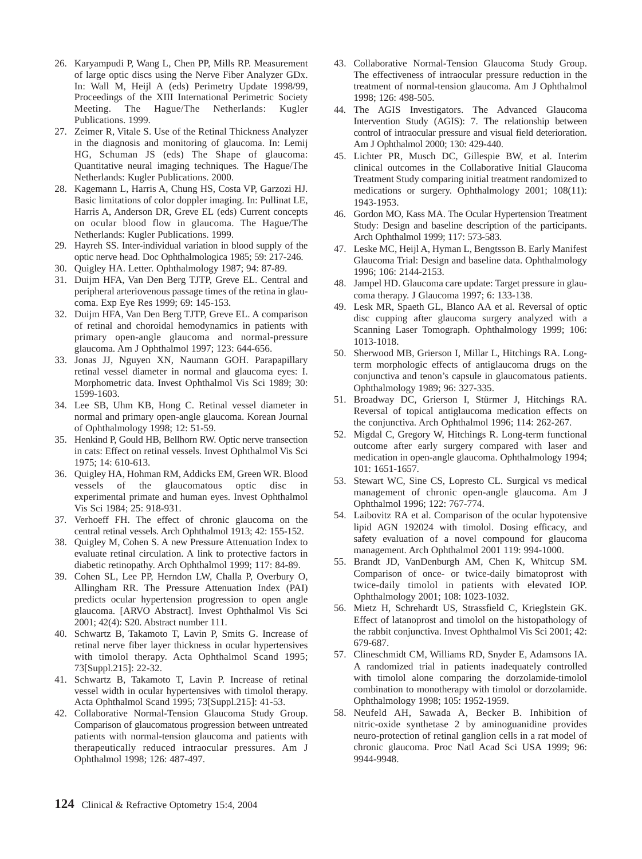- 26. Karyampudi P, Wang L, Chen PP, Mills RP. Measurement of large optic discs using the Nerve Fiber Analyzer GDx. In: Wall M, Heijl A (eds) Perimetry Update 1998/99, Proceedings of the XIII International Perimetric Society Meeting. The Hague/The Netherlands: Kugler Publications. 1999.
- 27. Zeimer R, Vitale S. Use of the Retinal Thickness Analyzer in the diagnosis and monitoring of glaucoma. In: Lemij HG, Schuman JS (eds) The Shape of glaucoma: Quantitative neural imaging techniques. The Hague/The Netherlands: Kugler Publications. 2000.
- 28. Kagemann L, Harris A, Chung HS, Costa VP, Garzozi HJ. Basic limitations of color doppler imaging. In: Pullinat LE, Harris A, Anderson DR, Greve EL (eds) Current concepts on ocular blood flow in glaucoma. The Hague/The Netherlands: Kugler Publications. 1999.
- 29. Hayreh SS. Inter-individual variation in blood supply of the optic nerve head. Doc Ophthalmologica 1985; 59: 217-246.
- 30. Quigley HA. Letter. Ophthalmology 1987; 94: 87-89.
- 31. Duijm HFA, Van Den Berg TJTP, Greve EL. Central and peripheral arteriovenous passage times of the retina in glaucoma. Exp Eye Res 1999; 69: 145-153.
- 32. Duijm HFA, Van Den Berg TJTP, Greve EL. A comparison of retinal and choroidal hemodynamics in patients with primary open-angle glaucoma and normal-pressure glaucoma. Am J Ophthalmol 1997; 123: 644-656.
- 33. Jonas JJ, Nguyen XN, Naumann GOH. Parapapillary retinal vessel diameter in normal and glaucoma eyes: I. Morphometric data. Invest Ophthalmol Vis Sci 1989; 30: 1599-1603.
- 34. Lee SB, Uhm KB, Hong C. Retinal vessel diameter in normal and primary open-angle glaucoma. Korean Journal of Ophthalmology 1998; 12: 51-59.
- 35. Henkind P, Gould HB, Bellhorn RW. Optic nerve transection in cats: Effect on retinal vessels. Invest Ophthalmol Vis Sci 1975; 14: 610-613.
- 36. Quigley HA, Hohman RM, Addicks EM, Green WR. Blood vessels of the glaucomatous optic disc in experimental primate and human eyes. Invest Ophthalmol Vis Sci 1984; 25: 918-931.
- 37. Verhoeff FH. The effect of chronic glaucoma on the central retinal vessels. Arch Ophthalmol 1913; 42: 155-152.
- 38. Quigley M, Cohen S. A new Pressure Attenuation Index to evaluate retinal circulation. A link to protective factors in diabetic retinopathy. Arch Ophthalmol 1999; 117: 84-89.
- 39. Cohen SL, Lee PP, Herndon LW, Challa P, Overbury O, Allingham RR. The Pressure Attenuation Index (PAI) predicts ocular hypertension progression to open angle glaucoma. [ARVO Abstract]. Invest Ophthalmol Vis Sci 2001; 42(4): S20. Abstract number 111.
- 40. Schwartz B, Takamoto T, Lavin P, Smits G. Increase of retinal nerve fiber layer thickness in ocular hypertensives with timolol therapy. Acta Ophthalmol Scand 1995; 73[Suppl.215]: 22-32.
- 41. Schwartz B, Takamoto T, Lavin P. Increase of retinal vessel width in ocular hypertensives with timolol therapy. Acta Ophthalmol Scand 1995; 73[Suppl.215]: 41-53.
- 42. Collaborative Normal-Tension Glaucoma Study Group. Comparison of glaucomatous progression between untreated patients with normal-tension glaucoma and patients with therapeutically reduced intraocular pressures. Am J Ophthalmol 1998; 126: 487-497.
- 43. Collaborative Normal-Tension Glaucoma Study Group. The effectiveness of intraocular pressure reduction in the treatment of normal-tension glaucoma. Am J Ophthalmol 1998; 126: 498-505.
- 44. The AGIS Investigators. The Advanced Glaucoma Intervention Study (AGIS): 7. The relationship between control of intraocular pressure and visual field deterioration. Am J Ophthalmol 2000; 130: 429-440.
- 45. Lichter PR, Musch DC, Gillespie BW, et al. Interim clinical outcomes in the Collaborative Initial Glaucoma Treatment Study comparing initial treatment randomized to medications or surgery. Ophthalmology 2001; 108(11): 1943-1953.
- 46. Gordon MO, Kass MA. The Ocular Hypertension Treatment Study: Design and baseline description of the participants. Arch Ophthalmol 1999; 117: 573-583.
- 47. Leske MC, Heijl A, Hyman L, Bengtsson B. Early Manifest Glaucoma Trial: Design and baseline data. Ophthalmology 1996; 106: 2144-2153.
- 48. Jampel HD. Glaucoma care update: Target pressure in glaucoma therapy. J Glaucoma 1997; 6: 133-138.
- 49. Lesk MR, Spaeth GL, Blanco AA et al. Reversal of optic disc cupping after glaucoma surgery analyzed with a Scanning Laser Tomograph. Ophthalmology 1999; 106: 1013-1018.
- 50. Sherwood MB, Grierson I, Millar L, Hitchings RA. Longterm morphologic effects of antiglaucoma drugs on the conjunctiva and tenon's capsule in glaucomatous patients. Ophthalmology 1989; 96: 327-335.
- 51. Broadway DC, Grierson I, Stürmer J, Hitchings RA. Reversal of topical antiglaucoma medication effects on the conjunctiva. Arch Ophthalmol 1996; 114: 262-267.
- 52. Migdal C, Gregory W, Hitchings R. Long-term functional outcome after early surgery compared with laser and medication in open-angle glaucoma. Ophthalmology 1994; 101: 1651-1657.
- 53. Stewart WC, Sine CS, Lopresto CL. Surgical vs medical management of chronic open-angle glaucoma. Am J Ophthalmol 1996; 122: 767-774.
- 54. Laibovitz RA et al. Comparison of the ocular hypotensive lipid AGN 192024 with timolol. Dosing efficacy, and safety evaluation of a novel compound for glaucoma management. Arch Ophthalmol 2001 119: 994-1000.
- 55. Brandt JD, VanDenburgh AM, Chen K, Whitcup SM. Comparison of once- or twice-daily bimatoprost with twice-daily timolol in patients with elevated IOP. Ophthalmology 2001; 108: 1023-1032.
- 56. Mietz H, Schrehardt US, Strassfield C, Krieglstein GK. Effect of latanoprost and timolol on the histopathology of the rabbit conjunctiva. Invest Ophthalmol Vis Sci 2001; 42: 679-687.
- 57. Clineschmidt CM, Williams RD, Snyder E, Adamsons IA. A randomized trial in patients inadequately controlled with timolol alone comparing the dorzolamide-timolol combination to monotherapy with timolol or dorzolamide. Ophthalmology 1998; 105: 1952-1959.
- 58. Neufeld AH, Sawada A, Becker B. Inhibition of nitric-oxide synthetase 2 by aminoguanidine provides neuro-protection of retinal ganglion cells in a rat model of chronic glaucoma. Proc Natl Acad Sci USA 1999; 96: 9944-9948.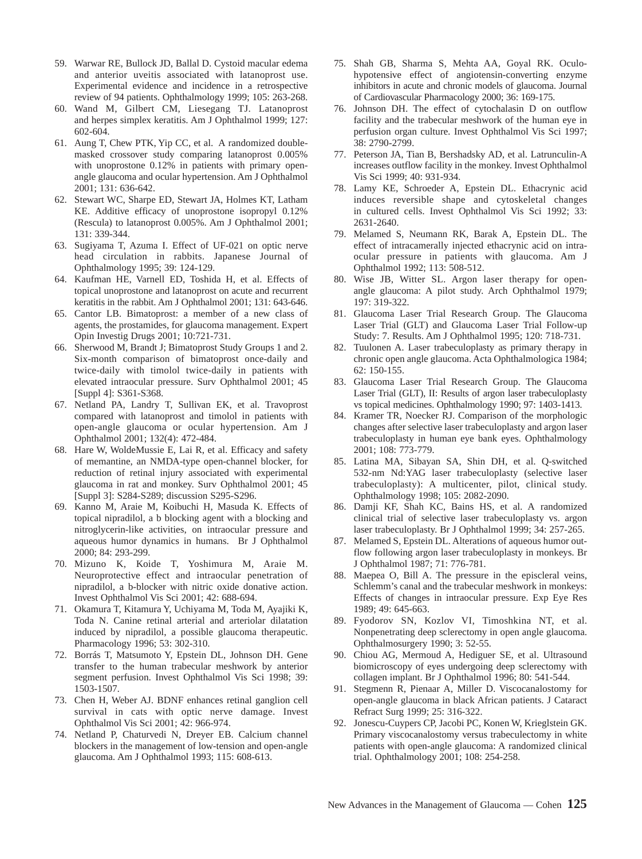- 59. Warwar RE, Bullock JD, Ballal D. Cystoid macular edema and anterior uveitis associated with latanoprost use. Experimental evidence and incidence in a retrospective review of 94 patients. Ophthalmology 1999; 105: 263-268.
- 60. Wand M, Gilbert CM, Liesegang TJ. Latanoprost and herpes simplex keratitis. Am J Ophthalmol 1999; 127: 602-604.
- 61. Aung T, Chew PTK, Yip CC, et al. A randomized doublemasked crossover study comparing latanoprost 0.005% with unoprostone 0.12% in patients with primary openangle glaucoma and ocular hypertension. Am J Ophthalmol 2001; 131: 636-642.
- 62. Stewart WC, Sharpe ED, Stewart JA, Holmes KT, Latham KE. Additive efficacy of unoprostone isopropyl 0.12% (Rescula) to latanoprost 0.005%. Am J Ophthalmol 2001; 131: 339-344.
- 63. Sugiyama T, Azuma I. Effect of UF-021 on optic nerve head circulation in rabbits. Japanese Journal of Ophthalmology 1995; 39: 124-129.
- 64. Kaufman HE, Varnell ED, Toshida H, et al. Effects of topical unoprostone and latanoprost on acute and recurrent keratitis in the rabbit. Am J Ophthalmol 2001; 131: 643-646.
- 65. Cantor LB. Bimatoprost: a member of a new class of agents, the prostamides, for glaucoma management. Expert Opin Investig Drugs 2001; 10:721-731.
- 66. Sherwood M, Brandt J; Bimatoprost Study Groups 1 and 2. Six-month comparison of bimatoprost once-daily and twice-daily with timolol twice-daily in patients with elevated intraocular pressure. Surv Ophthalmol 2001; 45 [Suppl 4]: S361-S368.
- 67. Netland PA, Landry T, Sullivan EK, et al. Travoprost compared with latanoprost and timolol in patients with open-angle glaucoma or ocular hypertension. Am J Ophthalmol 2001; 132(4): 472-484.
- 68. Hare W, WoldeMussie E, Lai R, et al. Efficacy and safety of memantine, an NMDA-type open-channel blocker, for reduction of retinal injury associated with experimental glaucoma in rat and monkey. Surv Ophthalmol 2001; 45 [Suppl 3]: S284-S289; discussion S295-S296.
- 69. Kanno M, Araie M, Koibuchi H, Masuda K. Effects of topical nipradilol, a b blocking agent with a blocking and nitroglycerin-like activities, on intraocular pressure and aqueous humor dynamics in humans. Br J Ophthalmol 2000; 84: 293-299.
- 70. Mizuno K, Koide T, Yoshimura M, Araie M. Neuroprotective effect and intraocular penetration of nipradilol, a b-blocker with nitric oxide donative action. Invest Ophthalmol Vis Sci 2001; 42: 688-694.
- 71. Okamura T, Kitamura Y, Uchiyama M, Toda M, Ayajiki K, Toda N. Canine retinal arterial and arteriolar dilatation induced by nipradilol, a possible glaucoma therapeutic. Pharmacology 1996; 53: 302-310.
- 72. Borrás T, Matsumoto Y, Epstein DL, Johnson DH. Gene transfer to the human trabecular meshwork by anterior segment perfusion. Invest Ophthalmol Vis Sci 1998; 39: 1503-1507.
- 73. Chen H, Weber AJ. BDNF enhances retinal ganglion cell survival in cats with optic nerve damage. Invest Ophthalmol Vis Sci 2001; 42: 966-974.
- 74. Netland P, Chaturvedi N, Dreyer EB. Calcium channel blockers in the management of low-tension and open-angle glaucoma. Am J Ophthalmol 1993; 115: 608-613.
- 75. Shah GB, Sharma S, Mehta AA, Goyal RK. Oculohypotensive effect of angiotensin-converting enzyme inhibitors in acute and chronic models of glaucoma. Journal of Cardiovascular Pharmacology 2000; 36: 169-175.
- 76. Johnson DH. The effect of cytochalasin D on outflow facility and the trabecular meshwork of the human eye in perfusion organ culture. Invest Ophthalmol Vis Sci 1997; 38: 2790-2799.
- 77. Peterson JA, Tian B, Bershadsky AD, et al. Latrunculin-A increases outflow facility in the monkey. Invest Ophthalmol Vis Sci 1999; 40: 931-934.
- 78. Lamy KE, Schroeder A, Epstein DL. Ethacrynic acid induces reversible shape and cytoskeletal changes in cultured cells. Invest Ophthalmol Vis Sci 1992; 33: 2631-2640.
- 79. Melamed S, Neumann RK, Barak A, Epstein DL. The effect of intracamerally injected ethacrynic acid on intraocular pressure in patients with glaucoma. Am J Ophthalmol 1992; 113: 508-512.
- 80. Wise JB, Witter SL. Argon laser therapy for openangle glaucoma: A pilot study. Arch Ophthalmol 1979; 197: 319-322.
- 81. Glaucoma Laser Trial Research Group. The Glaucoma Laser Trial (GLT) and Glaucoma Laser Trial Follow-up Study: 7. Results. Am J Ophthalmol 1995; 120: 718-731.
- 82. Tuulonen A. Laser trabeculoplasty as primary therapy in chronic open angle glaucoma. Acta Ophthalmologica 1984; 62: 150-155.
- 83. Glaucoma Laser Trial Research Group. The Glaucoma Laser Trial (GLT), II: Results of argon laser trabeculoplasty vs topical medicines. Ophthalmology 1990; 97: 1403-1413.
- 84. Kramer TR, Noecker RJ. Comparison of the morphologic changes after selective laser trabeculoplasty and argon laser trabeculoplasty in human eye bank eyes. Ophthalmology 2001; 108: 773-779.
- 85. Latina MA, Sibayan SA, Shin DH, et al. Q-switched 532-nm Nd:YAG laser trabeculoplasty (selective laser trabeculoplasty): A multicenter, pilot, clinical study. Ophthalmology 1998; 105: 2082-2090.
- 86. Damji KF, Shah KC, Bains HS, et al. A randomized clinical trial of selective laser trabeculoplasty vs. argon laser trabeculoplasty. Br J Ophthalmol 1999; 34: 257-265.
- 87. Melamed S, Epstein DL. Alterations of aqueous humor outflow following argon laser trabeculoplasty in monkeys. Br J Ophthalmol 1987; 71: 776-781.
- 88. Maepea O, Bill A. The pressure in the episcleral veins, Schlemm's canal and the trabecular meshwork in monkeys: Effects of changes in intraocular pressure. Exp Eye Res 1989; 49: 645-663.
- 89. Fyodorov SN, Kozlov VI, Timoshkina NT, et al. Nonpenetrating deep sclerectomy in open angle glaucoma. Ophthalmosurgery 1990; 3: 52-55.
- 90. Chiou AG, Mermoud A, Hediguer SE, et al. Ultrasound biomicroscopy of eyes undergoing deep sclerectomy with collagen implant. Br J Ophthalmol 1996; 80: 541-544.
- 91. Stegmenn R, Pienaar A, Miller D. Viscocanalostomy for open-angle glaucoma in black African patients. J Cataract Refract Surg 1999; 25: 316-322.
- 92. Jonescu-Cuypers CP, Jacobi PC, Konen W, Krieglstein GK. Primary viscocanalostomy versus trabeculectomy in white patients with open-angle glaucoma: A randomized clinical trial. Ophthalmology 2001; 108: 254-258.